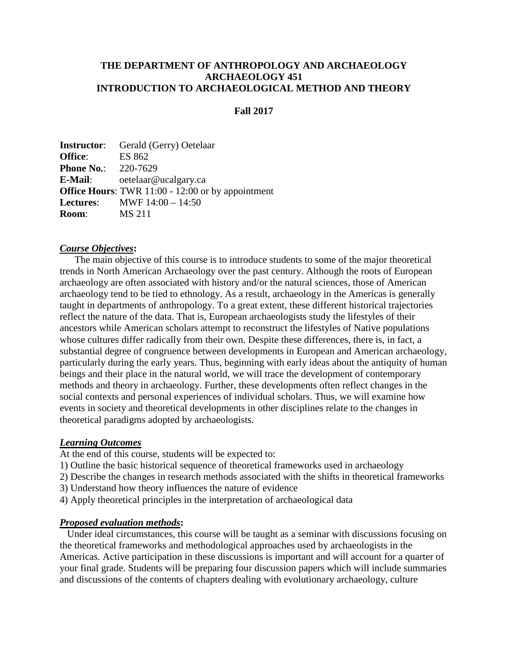### **THE DEPARTMENT OF ANTHROPOLOGY AND ARCHAEOLOGY ARCHAEOLOGY 451 INTRODUCTION TO ARCHAEOLOGICAL METHOD AND THEORY**

#### **Fall 2017**

**Instructor**: Gerald (Gerry) Oetelaar **Office**: ES 862 **Phone No.:** 220-7629<br>**E-Mail:** oetelaar@ **E-Mail**: oetelaar@ucalgary.ca **Office Hours**: TWR 11:00 - 12:00 or by appointment **Lectures**: MWF 14:00 – 14:50 **Room**: MS 211

#### *Course Objectives***:**

The main objective of this course is to introduce students to some of the major theoretical trends in North American Archaeology over the past century. Although the roots of European archaeology are often associated with history and/or the natural sciences, those of American archaeology tend to be tied to ethnology. As a result, archaeology in the Americas is generally taught in departments of anthropology. To a great extent, these different historical trajectories reflect the nature of the data. That is, European archaeologists study the lifestyles of their ancestors while American scholars attempt to reconstruct the lifestyles of Native populations whose cultures differ radically from their own. Despite these differences, there is, in fact, a substantial degree of congruence between developments in European and American archaeology, particularly during the early years. Thus, beginning with early ideas about the antiquity of human beings and their place in the natural world, we will trace the development of contemporary methods and theory in archaeology. Further, these developments often reflect changes in the social contexts and personal experiences of individual scholars. Thus, we will examine how events in society and theoretical developments in other disciplines relate to the changes in theoretical paradigms adopted by archaeologists.

#### *Learning Outcomes*

At the end of this course, students will be expected to:

- 1) Outline the basic historical sequence of theoretical frameworks used in archaeology
- 2) Describe the changes in research methods associated with the shifts in theoretical frameworks
- 3) Understand how theory influences the nature of evidence
- 4) Apply theoretical principles in the interpretation of archaeological data

#### *Proposed evaluation methods***:**

Under ideal circumstances, this course will be taught as a seminar with discussions focusing on the theoretical frameworks and methodological approaches used by archaeologists in the Americas. Active participation in these discussions is important and will account for a quarter of your final grade. Students will be preparing four discussion papers which will include summaries and discussions of the contents of chapters dealing with evolutionary archaeology, culture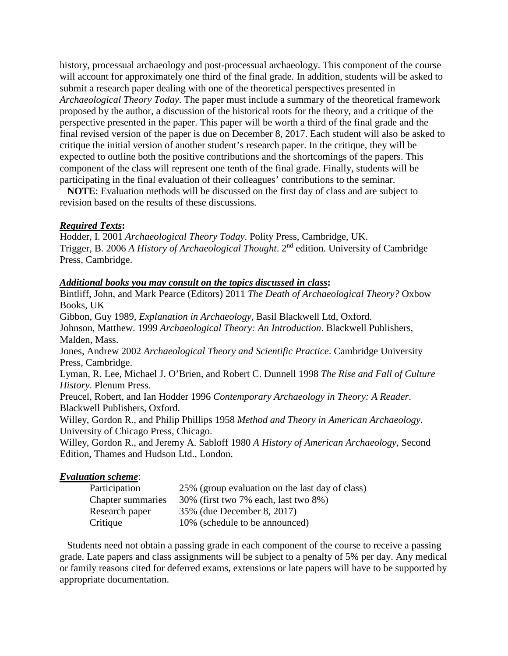history, processual archaeology and post-processual archaeology. This component of the course will account for approximately one third of the final grade. In addition, students will be asked to submit a research paper dealing with one of the theoretical perspectives presented in *Archaeological Theory Today*. The paper must include a summary of the theoretical framework proposed by the author, a discussion of the historical roots for the theory, and a critique of the perspective presented in the paper. This paper will be worth a third of the final grade and the final revised version of the paper is due on December 8, 2017. Each student will also be asked to critique the initial version of another student's research paper. In the critique, they will be expected to outline both the positive contributions and the shortcomings of the papers. This component of the class will represent one tenth of the final grade. Finally, students will be participating in the final evaluation of their colleagues' contributions to the seminar.

**NOTE**: Evaluation methods will be discussed on the first day of class and are subject to revision based on the results of these discussions.

### *Required Texts***:**

Hodder, I. 2001 *Archaeological Theory Today*. Polity Press, Cambridge, UK. Trigger, B. 2006 *A History of Archaeological Thought*. 2nd edition. University of Cambridge Press, Cambridge.

## *Additional books you may consult on the topics discussed in class***:**

Bintliff, John, and Mark Pearce (Editors) 2011 *The Death of Archaeological Theory?* Oxbow Books, UK Gibbon, Guy 1989, *Explanation in Archaeology*, Basil Blackwell Ltd, Oxford. Johnson, Matthew. 1999 *Archaeological Theory: An Introduction*. Blackwell Publishers, Malden, Mass. Jones, Andrew 2002 *Archaeological Theory and Scientific Practice*. Cambridge University Press, Cambridge. Lyman, R. Lee, Michael J. O'Brien, and Robert C. Dunnell 1998 *The Rise and Fall of Culture History*. Plenum Press. Preucel, Robert, and Ian Hodder 1996 *Contemporary Archaeology in Theory: A Reader*. Blackwell Publishers, Oxford. Willey, Gordon R., and Philip Phillips 1958 *Method and Theory in American Archaeology*. University of Chicago Press, Chicago. Willey, Gordon R., and Jeremy A. Sabloff 1980 *A History of American Archaeology*, Second Edition, Thames and Hudson Ltd., London.

### *Evaluation scheme*:

| Participation     | 25% (group evaluation on the last day of class) |
|-------------------|-------------------------------------------------|
| Chapter summaries | 30% (first two 7% each, last two 8%)            |
| Research paper    | 35% (due December 8, 2017)                      |
| Critique          | 10% (schedule to be announced)                  |

Students need not obtain a passing grade in each component of the course to receive a passing grade. Late papers and class assignments will be subject to a penalty of 5% per day. Any medical or family reasons cited for deferred exams, extensions or late papers will have to be supported by appropriate documentation.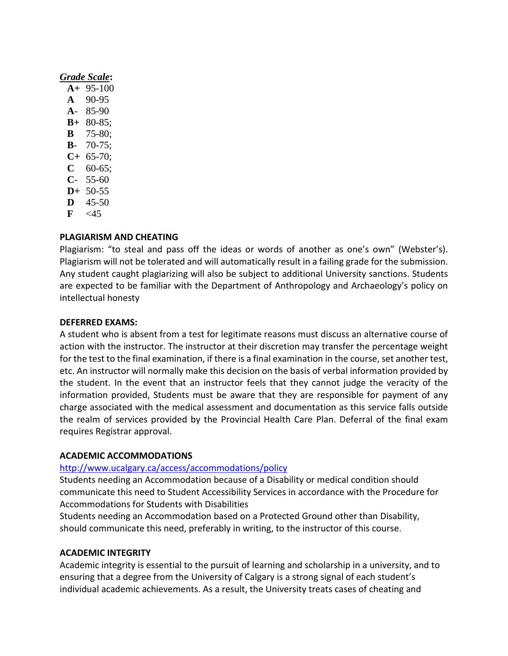### *Grade Scale***:**

| $A+$           | 95-100      |
|----------------|-------------|
| A              | 90-95       |
| $\mathbf{A}$ – | 85-90       |
| B+             | $80 - 85;$  |
| в              | $75 - 80;$  |
| В-             | $70-75;$    |
| C+             | $65 - 70$ ; |
| C              | $60 - 65;$  |
| С-             | 55-60       |
| $\mathbf{D}+$  | 50-55       |
| D              | 45-50       |
| F              | $<$ 45      |

### **PLAGIARISM AND CHEATING**

Plagiarism: "to steal and pass off the ideas or words of another as one's own" (Webster's). Plagiarism will not be tolerated and will automatically result in a failing grade for the submission. Any student caught plagiarizing will also be subject to additional University sanctions. Students are expected to be familiar with the Department of Anthropology and Archaeology's policy on intellectual honesty

### **DEFERRED EXAMS:**

A student who is absent from a test for legitimate reasons must discuss an alternative course of action with the instructor. The instructor at their discretion may transfer the percentage weight for the test to the final examination, if there is a final examination in the course, set another test, etc. An instructor will normally make this decision on the basis of verbal information provided by the student. In the event that an instructor feels that they cannot judge the veracity of the information provided, Students must be aware that they are responsible for payment of any charge associated with the medical assessment and documentation as this service falls outside the realm of services provided by the Provincial Health Care Plan. Deferral of the final exam requires Registrar approval.

### **ACADEMIC ACCOMMODATIONS**

### <http://www.ucalgary.ca/access/accommodations/policy>

Students needing an Accommodation because of a Disability or medical condition should communicate this need to Student Accessibility Services in accordance with the Procedure for Accommodations for Students with Disabilities

Students needing an Accommodation based on a Protected Ground other than Disability, should communicate this need, preferably in writing, to the instructor of this course.

### **ACADEMIC INTEGRITY**

Academic integrity is essential to the pursuit of learning and scholarship in a university, and to ensuring that a degree from the University of Calgary is a strong signal of each student's individual academic achievements. As a result, the University treats cases of cheating and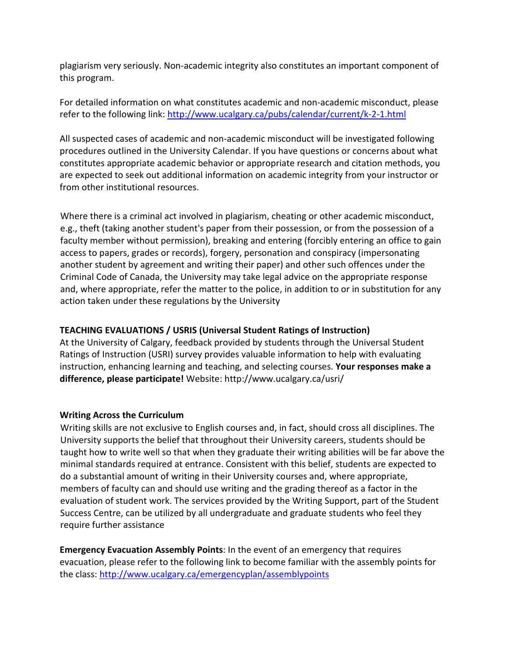plagiarism very seriously. Non-academic integrity also constitutes an important component of this program.

For detailed information on what constitutes academic and non-academic misconduct, please refer to the following link:<http://www.ucalgary.ca/pubs/calendar/current/k-2-1.html>

All suspected cases of academic and non-academic misconduct will be investigated following procedures outlined in the University Calendar. If you have questions or concerns about what constitutes appropriate academic behavior or appropriate research and citation methods, you are expected to seek out additional information on academic integrity from your instructor or from other institutional resources.

Where there is a criminal act involved in plagiarism, cheating or other academic misconduct, e.g., theft (taking another student's paper from their possession, or from the possession of a faculty member without permission), breaking and entering (forcibly entering an office to gain access to papers, grades or records), forgery, personation and conspiracy (impersonating another student by agreement and writing their paper) and other such offences under the Criminal Code of Canada, the University may take legal advice on the appropriate response and, where appropriate, refer the matter to the police, in addition to or in substitution for any action taken under these regulations by the University

## **TEACHING EVALUATIONS / USRIS (Universal Student Ratings of Instruction)**

At the University of Calgary, feedback provided by students through the Universal Student Ratings of Instruction (USRI) survey provides valuable information to help with evaluating instruction, enhancing learning and teaching, and selecting courses. **Your responses make a difference, please participate!** Website: http://www.ucalgary.ca/usri/

## **Writing Across the Curriculum**

Writing skills are not exclusive to English courses and, in fact, should cross all disciplines. The University supports the belief that throughout their University careers, students should be taught how to write well so that when they graduate their writing abilities will be far above the minimal standards required at entrance. Consistent with this belief, students are expected to do a substantial amount of writing in their University courses and, where appropriate, members of faculty can and should use writing and the grading thereof as a factor in the evaluation of student work. The services provided by the Writing Support, part of the Student Success Centre, can be utilized by all undergraduate and graduate students who feel they require further assistance

**Emergency Evacuation Assembly Points**: In the event of an emergency that requires evacuation, please refer to the following link to become familiar with the assembly points for the class:<http://www.ucalgary.ca/emergencyplan/assemblypoints>